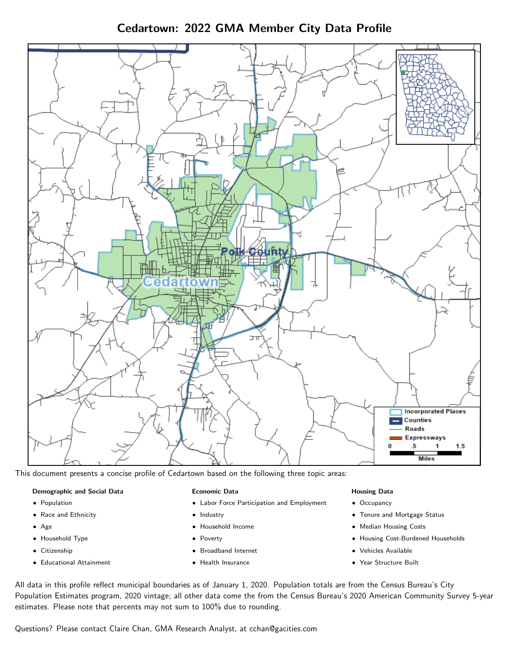Cedartown: 2022 GMA Member City Data Profile



This document presents a concise profile of Cedartown based on the following three topic areas:

#### Demographic and Social Data

- **•** Population
- Race and Ethnicity
- Age
- Household Type
- **Citizenship**
- Educational Attainment

#### Economic Data

- Labor Force Participation and Employment
- Industry
- Household Income
- Poverty
- Broadband Internet
- Health Insurance

### Housing Data

- Occupancy
- Tenure and Mortgage Status
- Median Housing Costs
- Housing Cost-Burdened Households
- Vehicles Available
- Year Structure Built

All data in this profile reflect municipal boundaries as of January 1, 2020. Population totals are from the Census Bureau's City Population Estimates program, 2020 vintage; all other data come the from the Census Bureau's 2020 American Community Survey 5-year estimates. Please note that percents may not sum to 100% due to rounding.

Questions? Please contact Claire Chan, GMA Research Analyst, at [cchan@gacities.com.](mailto:cchan@gacities.com)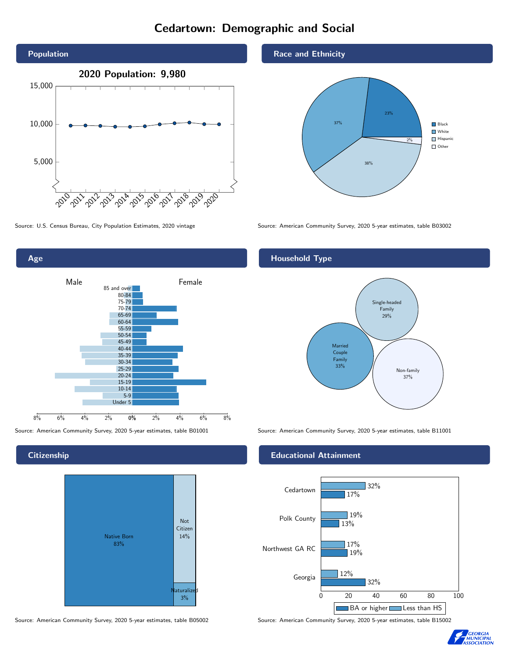# Cedartown: Demographic and Social





**Citizenship** 



Source: American Community Survey, 2020 5-year estimates, table B05002 Source: American Community Survey, 2020 5-year estimates, table B15002

Race and Ethnicity



Source: U.S. Census Bureau, City Population Estimates, 2020 vintage Source: American Community Survey, 2020 5-year estimates, table B03002

## Household Type



Source: American Community Survey, 2020 5-year estimates, table B01001 Source: American Community Survey, 2020 5-year estimates, table B11001

## Educational Attainment



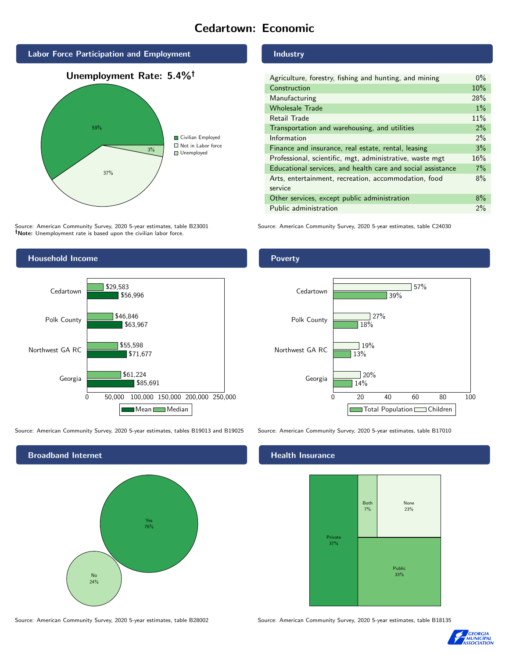# Cedartown: Economic



Source: American Community Survey, 2020 5-year estimates, table B23001 Note: Unemployment rate is based upon the civilian labor force.

## Industry

| Agriculture, forestry, fishing and hunting, and mining      | $0\%$ |
|-------------------------------------------------------------|-------|
| Construction                                                | 10%   |
| Manufacturing                                               | 28%   |
| <b>Wholesale Trade</b>                                      | $1\%$ |
| Retail Trade                                                | 11%   |
| Transportation and warehousing, and utilities               | 2%    |
| Information                                                 | $2\%$ |
| Finance and insurance, real estate, rental, leasing         | 3%    |
| Professional, scientific, mgt, administrative, waste mgt    | 16%   |
| Educational services, and health care and social assistance | 7%    |
| Arts, entertainment, recreation, accommodation, food        | 8%    |
| service                                                     |       |
| Other services, except public administration                | 8%    |
| Public administration                                       | 2%    |

Source: American Community Survey, 2020 5-year estimates, table C24030



Source: American Community Survey, 2020 5-year estimates, tables B19013 and B19025 Source: American Community Survey, 2020 5-year estimates, table B17010



Poverty



## Health Insurance



Source: American Community Survey, 2020 5-year estimates, table B28002 Source: American Community Survey, 2020 5-year estimates, table B18135